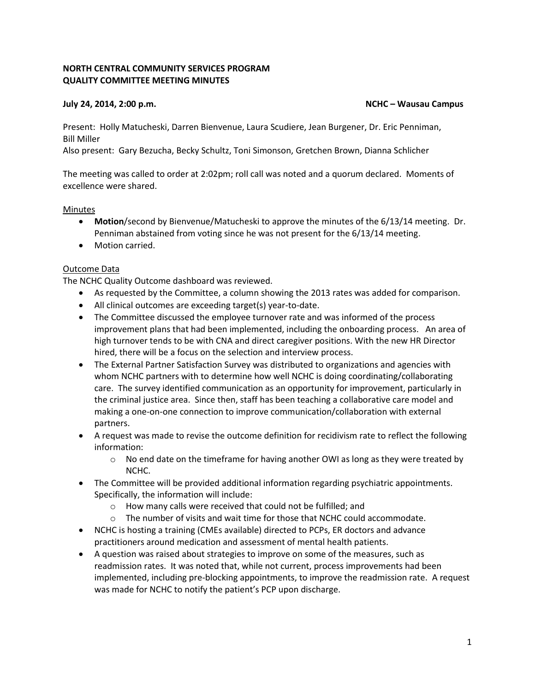# **NORTH CENTRAL COMMUNITY SERVICES PROGRAM QUALITY COMMITTEE MEETING MINUTES**

#### **July 24, 2014, 2:00 p.m. NCHC – Wausau Campus**

Present: Holly Matucheski, Darren Bienvenue, Laura Scudiere, Jean Burgener, Dr. Eric Penniman, Bill Miller

Also present: Gary Bezucha, Becky Schultz, Toni Simonson, Gretchen Brown, Dianna Schlicher

The meeting was called to order at 2:02pm; roll call was noted and a quorum declared. Moments of excellence were shared.

# Minutes

- **Motion**/second by Bienvenue/Matucheski to approve the minutes of the 6/13/14 meeting. Dr. Penniman abstained from voting since he was not present for the 6/13/14 meeting.
- Motion carried.

# Outcome Data

The NCHC Quality Outcome dashboard was reviewed.

- As requested by the Committee, a column showing the 2013 rates was added for comparison.
- All clinical outcomes are exceeding target(s) year-to-date.
- The Committee discussed the employee turnover rate and was informed of the process improvement plans that had been implemented, including the onboarding process. An area of high turnover tends to be with CNA and direct caregiver positions. With the new HR Director hired, there will be a focus on the selection and interview process.
- The External Partner Satisfaction Survey was distributed to organizations and agencies with whom NCHC partners with to determine how well NCHC is doing coordinating/collaborating care. The survey identified communication as an opportunity for improvement, particularly in the criminal justice area. Since then, staff has been teaching a collaborative care model and making a one-on-one connection to improve communication/collaboration with external partners.
- A request was made to revise the outcome definition for recidivism rate to reflect the following information:
	- $\circ$  No end date on the timeframe for having another OWI as long as they were treated by NCHC.
- The Committee will be provided additional information regarding psychiatric appointments. Specifically, the information will include:
	- o How many calls were received that could not be fulfilled; and
	- $\circ$  The number of visits and wait time for those that NCHC could accommodate.
- NCHC is hosting a training (CMEs available) directed to PCPs, ER doctors and advance practitioners around medication and assessment of mental health patients.
- A question was raised about strategies to improve on some of the measures, such as readmission rates. It was noted that, while not current, process improvements had been implemented, including pre-blocking appointments, to improve the readmission rate. A request was made for NCHC to notify the patient's PCP upon discharge.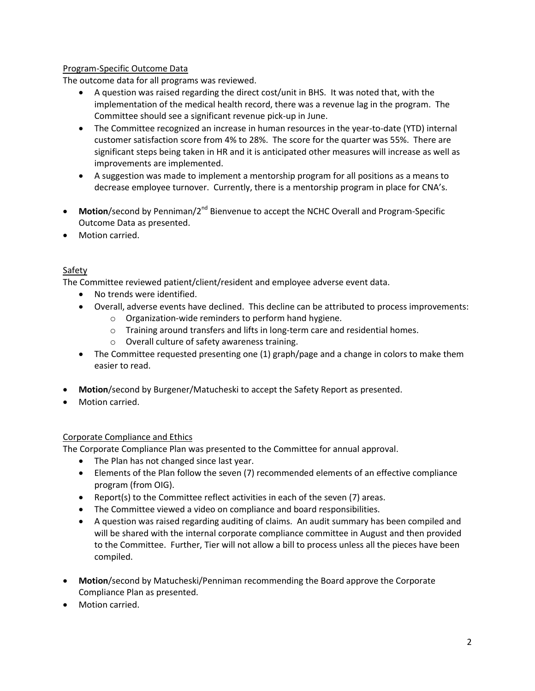# Program-Specific Outcome Data

The outcome data for all programs was reviewed.

- A question was raised regarding the direct cost/unit in BHS. It was noted that, with the implementation of the medical health record, there was a revenue lag in the program. The Committee should see a significant revenue pick-up in June.
- The Committee recognized an increase in human resources in the year-to-date (YTD) internal customer satisfaction score from 4% to 28%. The score for the quarter was 55%. There are significant steps being taken in HR and it is anticipated other measures will increase as well as improvements are implemented.
- A suggestion was made to implement a mentorship program for all positions as a means to decrease employee turnover. Currently, there is a mentorship program in place for CNA's.
- **Motion**/second by Penniman/2<sup>nd</sup> Bienvenue to accept the NCHC Overall and Program-Specific Outcome Data as presented.
- Motion carried.

# **Safety**

The Committee reviewed patient/client/resident and employee adverse event data.

- No trends were identified.
- Overall, adverse events have declined. This decline can be attributed to process improvements:
	- o Organization-wide reminders to perform hand hygiene.
	- o Training around transfers and lifts in long-term care and residential homes.
	- o Overall culture of safety awareness training.
- The Committee requested presenting one (1) graph/page and a change in colors to make them easier to read.
- **Motion**/second by Burgener/Matucheski to accept the Safety Report as presented.
- Motion carried.

#### Corporate Compliance and Ethics

The Corporate Compliance Plan was presented to the Committee for annual approval.

- The Plan has not changed since last year.
- Elements of the Plan follow the seven (7) recommended elements of an effective compliance program (from OIG).
- Report(s) to the Committee reflect activities in each of the seven (7) areas.
- The Committee viewed a video on compliance and board responsibilities.
- A question was raised regarding auditing of claims. An audit summary has been compiled and will be shared with the internal corporate compliance committee in August and then provided to the Committee. Further, Tier will not allow a bill to process unless all the pieces have been compiled.
- **Motion**/second by Matucheski/Penniman recommending the Board approve the Corporate Compliance Plan as presented.
- Motion carried.